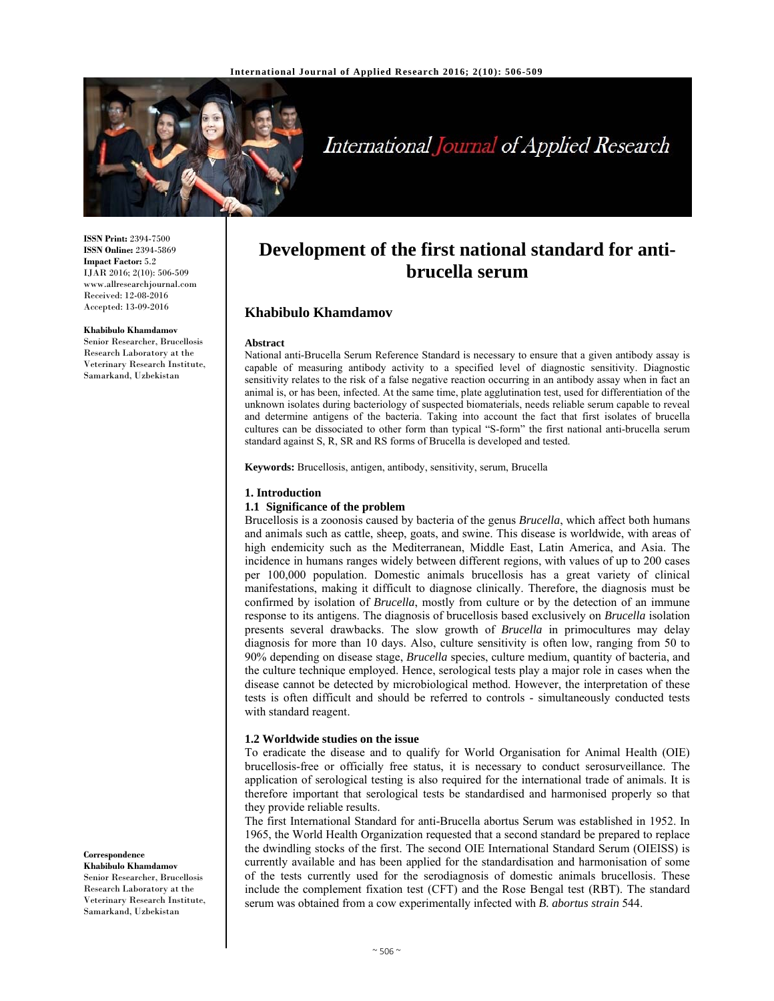

# International Journal of Applied Research

**ISSN Print:** 2394-7500 **ISSN Online:** 2394-5869 **Impact Factor:** 5.2 IJAR 2016; 2(10): 506-509 www.allresearchjournal.com Received: 12-08-2016 Accepted: 13-09-2016

#### **Khabibulo Khamdamov**

Senior Researcher, Brucellosis Research Laboratory at the Veterinary Research Institute, Samarkand, Uzbekistan

**Correspondence**

**Khabibulo Khamdamov**  Senior Researcher, Brucellosis Research Laboratory at the Veterinary Research Institute, Samarkand, Uzbekistan

# **Development of the first national standard for antibrucella serum**

# **Khabibulo Khamdamov**

#### **Abstract**

National anti-Brucella Serum Reference Standard is necessary to ensure that a given antibody assay is capable of measuring antibody activity to a specified level of diagnostic sensitivity. Diagnostic sensitivity relates to the risk of a false negative reaction occurring in an antibody assay when in fact an animal is, or has been, infected. At the same time, plate agglutination test, used for differentiation of the unknown isolates during bacteriology of suspected biomaterials, needs reliable serum capable to reveal and determine antigens of the bacteria. Taking into account the fact that first isolates of brucella cultures can be dissociated to other form than typical "S-form" the first national anti-brucella serum standard against S, R, SR and RS forms of Brucella is developed and tested.

**Keywords:** Brucellosis, antigen, antibody, sensitivity, serum, Brucella

#### **1. Introduction**

#### **1.1 Significance of the problem**

Brucellosis is a zoonosis caused by bacteria of the genus *Brucella*, which affect both humans and animals such as cattle, sheep, goats, and swine. This disease is worldwide, with areas of high endemicity such as the Mediterranean, Middle East, Latin America, and Asia. The incidence in humans ranges widely between different regions, with values of up to 200 cases per 100,000 population. Domestic animals brucellosis has a great variety of clinical manifestations, making it difficult to diagnose clinically. Therefore, the diagnosis must be confirmed by isolation of *Brucella*, mostly from culture or by the detection of an immune response to its antigens. The diagnosis of brucellosis based exclusively on *Brucella* isolation presents several drawbacks. The slow growth of *Brucella* in primocultures may delay diagnosis for more than 10 days. Also, culture sensitivity is often low, ranging from 50 to 90% depending on disease stage, *Brucella* species, culture medium, quantity of bacteria, and the culture technique employed. Hence, serological tests play a major role in cases when the disease cannot be detected by microbiological method. However, the interpretation of these tests is often difficult and should be referred to controls - simultaneously conducted tests with standard reagent.

#### **1.2 Worldwide studies on the issue**

To eradicate the disease and to qualify for World Organisation for Animal Health (OIE) brucellosis-free or officially free status, it is necessary to conduct serosurveillance. The application of serological testing is also required for the international trade of animals. It is therefore important that serological tests be standardised and harmonised properly so that they provide reliable results.

The first International Standard for anti-Brucella abortus Serum was established in 1952. In 1965, the World Health Organization requested that a second standard be prepared to replace the dwindling stocks of the first. The second OIE International Standard Serum (OIEISS) is currently available and has been applied for the standardisation and harmonisation of some of the tests currently used for the serodiagnosis of domestic animals brucellosis. These include the complement fixation test (CFT) and the Rose Bengal test (RBT). The standard serum was obtained from a cow experimentally infected with *B. abortus strain* 544.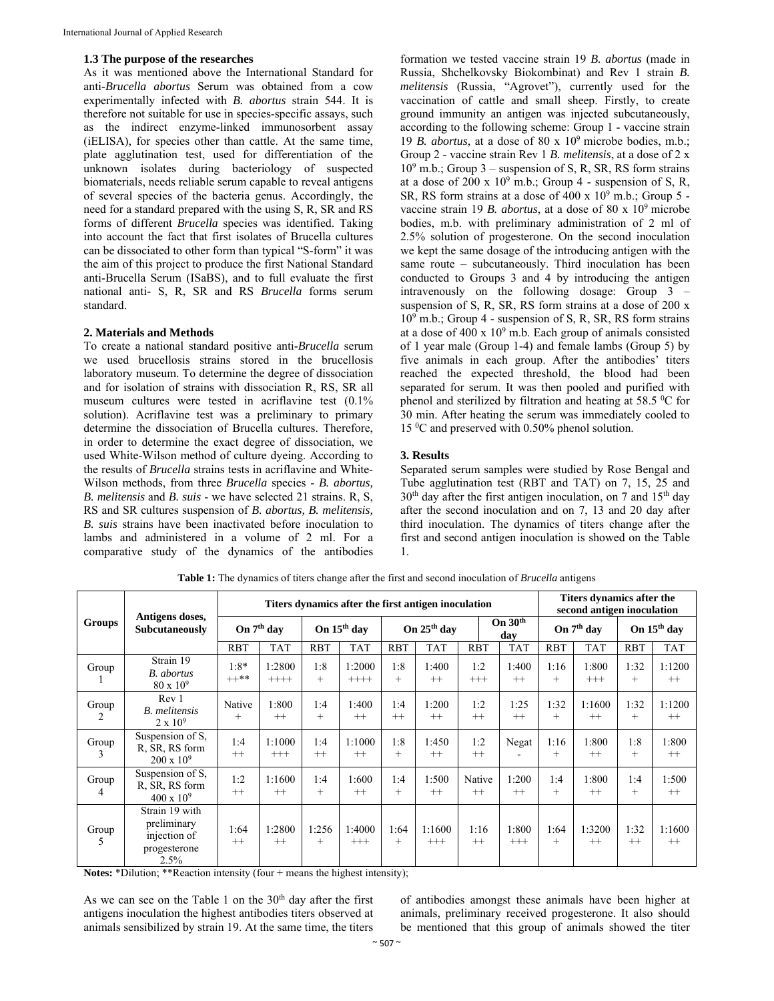#### **1.3 The purpose of the researches**

As it was mentioned above the International Standard for anti-*Brucella abortus* Serum was obtained from a cow experimentally infected with *B. abortus* strain 544. It is therefore not suitable for use in species-specific assays, such as the indirect enzyme-linked immunosorbent assay (iELISA), for species other than cattle. At the same time, plate agglutination test, used for differentiation of the unknown isolates during bacteriology of suspected biomaterials, needs reliable serum capable to reveal antigens of several species of the bacteria genus. Accordingly, the need for a standard prepared with the using S, R, SR and RS forms of different *Brucella* species was identified. Taking into account the fact that first isolates of Brucella cultures can be dissociated to other form than typical "S-form" it was the aim of this project to produce the first National Standard anti-Brucella Serum (ISaBS), and to full evaluate the first national anti- S, R, SR and RS *Brucella* forms serum standard.

#### **2. Materials and Methods**

To create a national standard positive anti-*Brucella* serum we used brucellosis strains stored in the brucellosis laboratory museum. To determine the degree of dissociation and for isolation of strains with dissociation R, RS, SR all museum cultures were tested in acriflavine test (0.1% solution). Acriflavine test was a preliminary to primary determine the dissociation of Brucella cultures. Therefore, in order to determine the exact degree of dissociation, we used White-Wilson method of culture dyeing. According to the results of *Brucella* strains tests in acriflavine and White-Wilson methods, from three *Brucella* species - *B. abortus, B. melitensis* and *B. suis* - we have selected 21 strains. R, S, RS and SR cultures suspension of *B. abortus, B. melitensis, B. suis* strains have been inactivated before inoculation to lambs and administered in a volume of 2 ml. For a comparative study of the dynamics of the antibodies

formation we tested vaccine strain 19 *B. abortus* (made in Russia, Shchelkovsky Biokombinat) and Rev 1 strain *B. melitensis* (Russia, "Agrovet"), currently used for the vaccination of cattle and small sheep. Firstly, to create ground immunity an antigen was injected subcutaneously, according to the following scheme: Group 1 - vaccine strain 19 *B. abortus*, at a dose of 80 x 109 microbe bodies, m.b.; Group 2 - vaccine strain Rev 1 *B. melitensis*, at a dose of 2 x 109 m.b.; Group 3 – suspension of S, R, SR, RS form strains at a dose of 200 x  $10^9$  m.b.; Group 4 - suspension of S, R, SR, RS form strains at a dose of  $400 \times 10^9$  m.b.; Group 5 vaccine strain 19 *B. abortus*, at a dose of 80 x 109 microbe bodies, m.b. with preliminary administration of 2 ml of 2.5% solution of progesterone. On the second inoculation we kept the same dosage of the introducing antigen with the same route – subcutaneously. Third inoculation has been conducted to Groups 3 and 4 by introducing the antigen intravenously on the following dosage: Group 3 – suspension of S, R, SR, RS form strains at a dose of 200 x 109 m.b.; Group 4 - suspension of S, R, SR, RS form strains at a dose of  $400 \times 10^9$  m.b. Each group of animals consisted of 1 year male (Group 1-4) and female lambs (Group 5) by five animals in each group. After the antibodies' titers reached the expected threshold, the blood had been separated for serum. It was then pooled and purified with phenol and sterilized by filtration and heating at 58.5 °C for 30 min. After heating the serum was immediately cooled to 15 0 C and preserved with 0.50% phenol solution.

#### **3. Results**

Separated serum samples were studied by Rose Bengal and Tube agglutination test (RBT and TAT) on 7, 15, 25 and  $30<sup>th</sup>$  day after the first antigen inoculation, on 7 and 15<sup>th</sup> day after the second inoculation and on 7, 13 and 20 day after third inoculation. The dynamics of titers change after the first and second antigen inoculation is showed on the Table 1.

| Groups     | Antigens doses,<br>Subcutaneously                                     | Titers dynamics after the first antigen inoculation |                    |               |                    |                         |                  |                  | Titers dynamics after the<br>second antigen inoculation |                        |                   |                         |                   |
|------------|-----------------------------------------------------------------------|-----------------------------------------------------|--------------------|---------------|--------------------|-------------------------|------------------|------------------|---------------------------------------------------------|------------------------|-------------------|-------------------------|-------------------|
|            |                                                                       | On 7 <sup>th</sup> day                              |                    | On 15th day   |                    | On 25 <sup>th</sup> day |                  | On $30th$<br>dav |                                                         | On 7 <sup>th</sup> day |                   | On 15 <sup>th</sup> day |                   |
|            |                                                                       | <b>RBT</b>                                          | <b>TAT</b>         | <b>RBT</b>    | <b>TAT</b>         | <b>RBT</b>              | <b>TAT</b>       | <b>RBT</b>       | <b>TAT</b>                                              | <b>RBT</b>             | <b>TAT</b>        | <b>RBT</b>              | <b>TAT</b>        |
| Group      | Strain 19<br><b>B.</b> abortus<br>$80 \times 10^9$                    | $1:8*$<br>$++**$                                    | 1:2800<br>$++++-$  | 1:8<br>$^{+}$ | 1:2000<br>$++++-$  | 1:8<br>$+$              | 1:400<br>$^{++}$ | 1:2<br>$+++$     | 1:400<br>$^{++}$                                        | 1:16<br>$^{+}$         | 1:800<br>$^{+++}$ | 1:32<br>$^{+}$          | 1:1200<br>$++$    |
| Group<br>2 | Rev 1<br><b>B.</b> melitensis<br>$2 \times 10^9$                      | Native<br>$^{+}$                                    | 1:800<br>$^{++}$   | 1:4<br>$^{+}$ | 1:400<br>$++$      | 1:4<br>$^{++}$          | 1:200<br>$^{++}$ | 1:2<br>$++$      | 1:25<br>$^{++}$                                         | 1:32<br>$+$            | 1:1600<br>$^{++}$ | 1:32<br>$^{+}$          | 1:1200<br>$^{++}$ |
| Group<br>3 | Suspension of S,<br>R, SR, RS form<br>$200 \times 10^9$               | 1:4<br>$++$                                         | 1:1000<br>$^{+++}$ | 1:4<br>$++$   | 1:1000<br>$++$     | 1:8<br>$^{+}$           | 1:450<br>$^{++}$ | 1:2<br>$++$      | Negat                                                   | 1:16<br>$^{+}$         | 1:800<br>$++$     | 1:8<br>$^{+}$           | 1:800<br>$++$     |
| Group<br>4 | Suspension of S,<br>R, SR, RS form<br>$400 \times 10^{9}$             | 1:2<br>$++$                                         | 1:1600<br>$++$     | 1:4<br>$^{+}$ | 1:600<br>$++$      | 1:4<br>$^{+}$           | 1:500<br>$^{++}$ | Native<br>$++$   | 1:200<br>$++$                                           | 1:4<br>$+$             | 1:800<br>$++$     | 1:4<br>$^{+}$           | 1:500<br>$++$     |
| Group<br>5 | Strain 19 with<br>preliminary<br>injection of<br>progesterone<br>2.5% | 1:64<br>$++$                                        | 1:2800<br>$^{++}$  | 1:256<br>$+$  | 1:4000<br>$^{+++}$ | 1:64<br>$+$             | 1:1600<br>$+++$  | 1:16<br>$++$     | 1:800<br>$+++$                                          | 1:64<br>$+$            | 1:3200<br>$^{++}$ | 1:32<br>$++$            | 1:1600<br>$++$    |

**Table 1:** The dynamics of titers change after the first and second inoculation of *Brucella* antigens

**Notes:** \*Dilution; \*\*Reaction intensity (four + means the highest intensity);

As we can see on the Table 1 on the  $30<sup>th</sup>$  day after the first antigens inoculation the highest antibodies titers observed at animals sensibilized by strain 19. At the same time, the titers

of antibodies amongst these animals have been higher at animals, preliminary received progesterone. It also should be mentioned that this group of animals showed the titer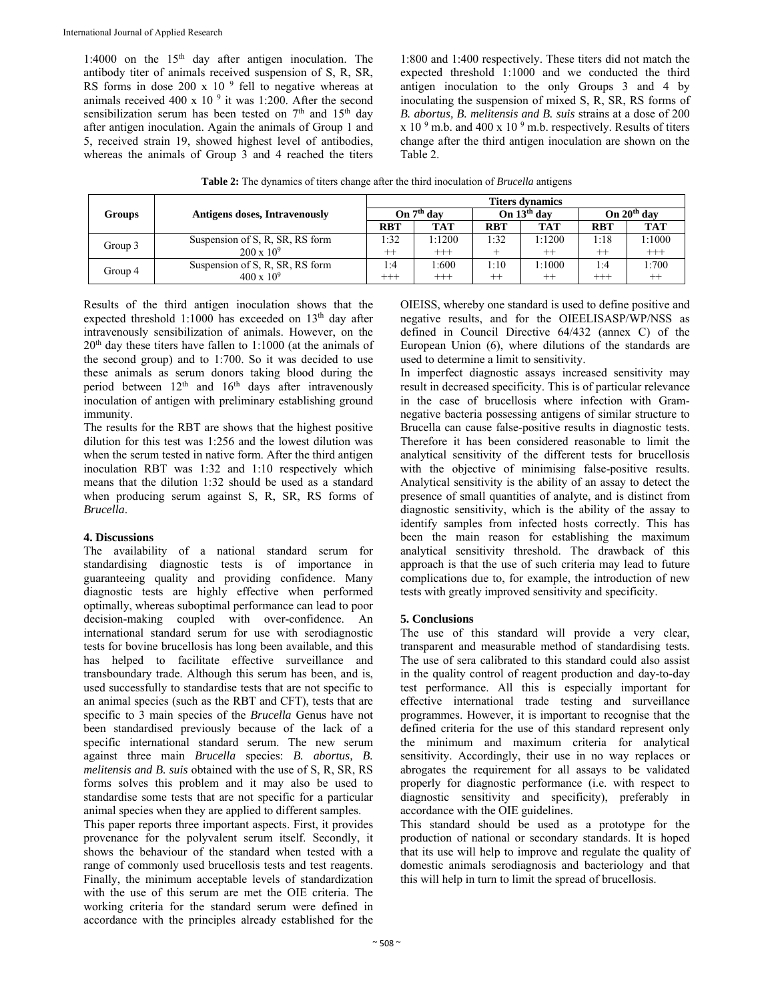1:4000 on the  $15<sup>th</sup>$  day after antigen inoculation. The antibody titer of animals received suspension of S, R, SR, RS forms in dose 200 x 10 $9$  fell to negative whereas at animals received 400 x 10 $9$  it was 1:200. After the second sensibilization serum has been tested on 7<sup>th</sup> and 15<sup>th</sup> day after antigen inoculation. Again the animals of Group 1 and 5, received strain 19, showed highest level of antibodies, whereas the animals of Group 3 and 4 reached the titers

1:800 and 1:400 respectively. These titers did not match the expected threshold 1:1000 and we conducted the third antigen inoculation to the only Groups 3 and 4 by inoculating the suspension of mixed S, R, SR, RS forms of *B. abortus, B. melitensis and B. suis* strains at a dose of 200  $x 10<sup>9</sup>$  m.b. and 400 x 10<sup>9</sup> m.b. respectively. Results of titers change after the third antigen inoculation are shown on the Table 2.

**Table 2:** The dynamics of titers change after the third inoculation of *Brucella* antigens

|               |                                      | <b>Titers dynamics</b> |                        |            |               |               |            |  |  |
|---------------|--------------------------------------|------------------------|------------------------|------------|---------------|---------------|------------|--|--|
| <b>Groups</b> | <b>Antigens doses, Intravenously</b> |                        | On 7 <sup>th</sup> day |            | On $13th$ day | On $20th$ day |            |  |  |
|               |                                      | <b>RBT</b>             | <b>TAT</b>             | <b>RBT</b> | <b>TAT</b>    | <b>RBT</b>    | <b>TAT</b> |  |  |
| Group 3       | Suspension of S, R, SR, RS form      | 1:32                   | 1:1200                 | 1:32       | 1:1200        | 1:18          | 1:1000     |  |  |
|               | $200 \times 10^9$                    | $^{++}$                | $^{+++}$               |            | $^{++}$       | $++$          | $^{+++}$   |  |  |
| Group 4       | Suspension of S, R, SR, RS form      | 1:4                    | 1:600                  | 1:10       | 1:1000        | 1:4           | 1:700      |  |  |
|               | $400 \times 10^{9}$                  | $^{+++}$               | $^{+++}$               | ᅩᅩ         | $^{++}$       | $^{+++}$      | $^{++}$    |  |  |

Results of the third antigen inoculation shows that the expected threshold 1:1000 has exceeded on 13<sup>th</sup> day after intravenously sensibilization of animals. However, on the  $20<sup>th</sup>$  day these titers have fallen to 1:1000 (at the animals of the second group) and to 1:700. So it was decided to use these animals as serum donors taking blood during the period between 12<sup>th</sup> and 16<sup>th</sup> days after intravenously inoculation of antigen with preliminary establishing ground immunity.

The results for the RBT are shows that the highest positive dilution for this test was 1:256 and the lowest dilution was when the serum tested in native form. After the third antigen inoculation RBT was 1:32 and 1:10 respectively which means that the dilution 1:32 should be used as a standard when producing serum against S, R, SR, RS forms of *Brucella*.

## **4. Discussions**

The availability of a national standard serum for standardising diagnostic tests is of importance in guaranteeing quality and providing confidence. Many diagnostic tests are highly effective when performed optimally, whereas suboptimal performance can lead to poor decision-making coupled with over-confidence. An international standard serum for use with serodiagnostic tests for bovine brucellosis has long been available, and this has helped to facilitate effective surveillance and transboundary trade. Although this serum has been, and is, used successfully to standardise tests that are not specific to an animal species (such as the RBT and CFT), tests that are specific to 3 main species of the *Brucella* Genus have not been standardised previously because of the lack of a specific international standard serum. The new serum against three main *Brucella* species: *B. abortus, B. melitensis and B. suis* obtained with the use of S, R, SR, RS forms solves this problem and it may also be used to standardise some tests that are not specific for a particular animal species when they are applied to different samples.

This paper reports three important aspects. First, it provides provenance for the polyvalent serum itself. Secondly, it shows the behaviour of the standard when tested with a range of commonly used brucellosis tests and test reagents. Finally, the minimum acceptable levels of standardization with the use of this serum are met the OIE criteria. The working criteria for the standard serum were defined in accordance with the principles already established for the

OIEISS, whereby one standard is used to define positive and negative results, and for the OIEELISASP/WP/NSS as defined in Council Directive 64/432 (annex C) of the European Union (6), where dilutions of the standards are used to determine a limit to sensitivity.

In imperfect diagnostic assays increased sensitivity may result in decreased specificity. This is of particular relevance in the case of brucellosis where infection with Gramnegative bacteria possessing antigens of similar structure to Brucella can cause false-positive results in diagnostic tests. Therefore it has been considered reasonable to limit the analytical sensitivity of the different tests for brucellosis with the objective of minimising false-positive results. Analytical sensitivity is the ability of an assay to detect the presence of small quantities of analyte, and is distinct from diagnostic sensitivity, which is the ability of the assay to identify samples from infected hosts correctly. This has been the main reason for establishing the maximum analytical sensitivity threshold. The drawback of this approach is that the use of such criteria may lead to future complications due to, for example, the introduction of new tests with greatly improved sensitivity and specificity.

## **5. Conclusions**

The use of this standard will provide a very clear, transparent and measurable method of standardising tests. The use of sera calibrated to this standard could also assist in the quality control of reagent production and day-to-day test performance. All this is especially important for effective international trade testing and surveillance programmes. However, it is important to recognise that the defined criteria for the use of this standard represent only the minimum and maximum criteria for analytical sensitivity. Accordingly, their use in no way replaces or abrogates the requirement for all assays to be validated properly for diagnostic performance (i.e. with respect to diagnostic sensitivity and specificity), preferably in accordance with the OIE guidelines.

This standard should be used as a prototype for the production of national or secondary standards. It is hoped that its use will help to improve and regulate the quality of domestic animals serodiagnosis and bacteriology and that this will help in turn to limit the spread of brucellosis.